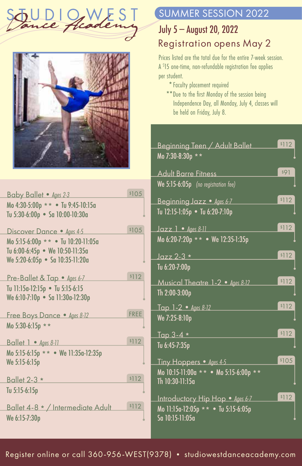



| Baby Ballet • Ages 2-3                             | \$105       |
|----------------------------------------------------|-------------|
| Mo 4:30-5:00p ** • Tu 9:45-10:15a                  |             |
| Tu 5:30-6:00p • Sa 10:00-10:30a                    |             |
| Discover Dance • Ages 4-5                          | \$105       |
| Mo 5:15-6:00p ** . Tu 10:20-11:05a                 |             |
| Tu 6:00-6:45p • We 10:50-11:35a                    |             |
| We 5:20-6:05p • Sa 10:35-11:20a                    |             |
|                                                    |             |
| Pre-Ballet & Tap • Ages 6-7                        | \$112       |
| Tu 11:15a-12:15p • Tu 5:15-6:15                    |             |
| We 6:10-7:10p • Sa 11:30a-12:30p                   |             |
|                                                    |             |
|                                                    | <b>FRFF</b> |
| Free Boys Dance • Ages 8-12                        |             |
| Mo 5:30-6:15p **                                   |             |
| Ballet $1 \cdot \text{Ages } 8-11$                 | \$112       |
| Mo 5:15-6:15p ** • We 11:35a-12:35p                |             |
| We 5:15-6:15p                                      |             |
|                                                    |             |
| <b>Ballet 2-3 *</b>                                | \$112       |
| Tu 5:15-6:15p                                      |             |
|                                                    | \$112       |
| Ballet 4-8 * / Intermediate Adult<br>We 6:15-7:30p |             |

## SUMMER SESSION 2022

## July 5 — August 20, 2022

## Registration opens May 2

Prices listed are the total due for the entire 7-week session. A \$ 15 one-time, non-refundable registration fee applies per student.

- **\*** Faculty placement required
- **\*\***Due to the first Monday of the session being Independence Day, all Monday, July 4, classes will be held on Friday, July 8.

| Beginning Teen / Adult Ballet<br>Mo 7:30-8:30p **      | \$112 |
|--------------------------------------------------------|-------|
|                                                        |       |
| <b>Adult Barre Fitness</b>                             | \$91  |
| We 5:15-6:05p (no registration fee)                    |       |
| Beginning Jazz · Ages 6-7                              | \$112 |
| Tu 12:15-1:05p • Tu 6:20-7:10p                         |       |
| $Jazz 1 - Ages 8-11$                                   | \$112 |
| Mo 6:20-7:20p ** • We 12:35-1:35p                      |       |
| $Jazz$ 2-3 $*$                                         | \$112 |
| Tu 6:20-7:00p                                          |       |
| Musical Theatre 1-2 • Ages 8-12                        | \$112 |
| Th 2:00-3:00p                                          |       |
| Tap 1-2 • Ages 8-12                                    | \$112 |
| We 7:25-8:10p                                          |       |
| Tap 3-4 *                                              | \$112 |
| Tu 6:45-7:35p                                          |       |
| Tiny Hoppers • Ages 4-5                                | \$105 |
| Mo 10:15-11:00a ** • Mo 5:15-6:00p **                  |       |
| Th 10:30-11:15a                                        |       |
| Introductory Hip Hop • Ages 6-7                        | \$112 |
| Mo 11:15a-12:05p ** • Tu 5:15-6:05p<br>Sa 10:15-11:05a |       |
|                                                        |       |